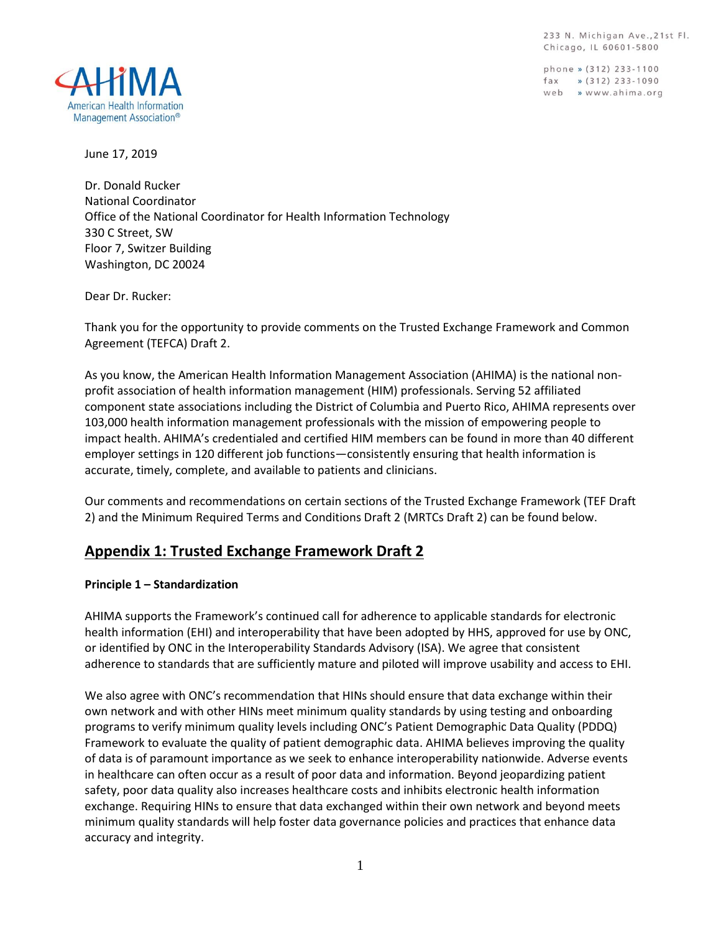233 N. Michigan Ave., 21st Fl. Chicago, IL 60601-5800

phone » (312) 233-1100  $\frac{1}{2}$  (312) 233-1090 web » www.ahima.org



June 17, 2019

Dr. Donald Rucker National Coordinator Office of the National Coordinator for Health Information Technology 330 C Street, SW Floor 7, Switzer Building Washington, DC 20024

Dear Dr. Rucker:

Thank you for the opportunity to provide comments on the Trusted Exchange Framework and Common Agreement (TEFCA) Draft 2.

As you know, the American Health Information Management Association (AHIMA) is the national nonprofit association of health information management (HIM) professionals. Serving 52 affiliated component state associations including the District of Columbia and Puerto Rico, AHIMA represents over 103,000 health information management professionals with the mission of empowering people to impact health. AHIMA's credentialed and certified HIM members can be found in more than 40 different employer settings in 120 different job functions—consistently ensuring that health information is accurate, timely, complete, and available to patients and clinicians.

Our comments and recommendations on certain sections of the Trusted Exchange Framework (TEF Draft 2) and the Minimum Required Terms and Conditions Draft 2 (MRTCs Draft 2) can be found below.

## **Appendix 1: Trusted Exchange Framework Draft 2**

#### **Principle 1 – Standardization**

AHIMA supports the Framework's continued call for adherence to applicable standards for electronic health information (EHI) and interoperability that have been adopted by HHS, approved for use by ONC, or identified by ONC in the Interoperability Standards Advisory (ISA). We agree that consistent adherence to standards that are sufficiently mature and piloted will improve usability and access to EHI.

We also agree with ONC's recommendation that HINs should ensure that data exchange within their own network and with other HINs meet minimum quality standards by using testing and onboarding programs to verify minimum quality levels including ONC's Patient Demographic Data Quality (PDDQ) Framework to evaluate the quality of patient demographic data. AHIMA believes improving the quality of data is of paramount importance as we seek to enhance interoperability nationwide. Adverse events in healthcare can often occur as a result of poor data and information. Beyond jeopardizing patient safety, poor data quality also increases healthcare costs and inhibits electronic health information exchange. Requiring HINs to ensure that data exchanged within their own network and beyond meets minimum quality standards will help foster data governance policies and practices that enhance data accuracy and integrity.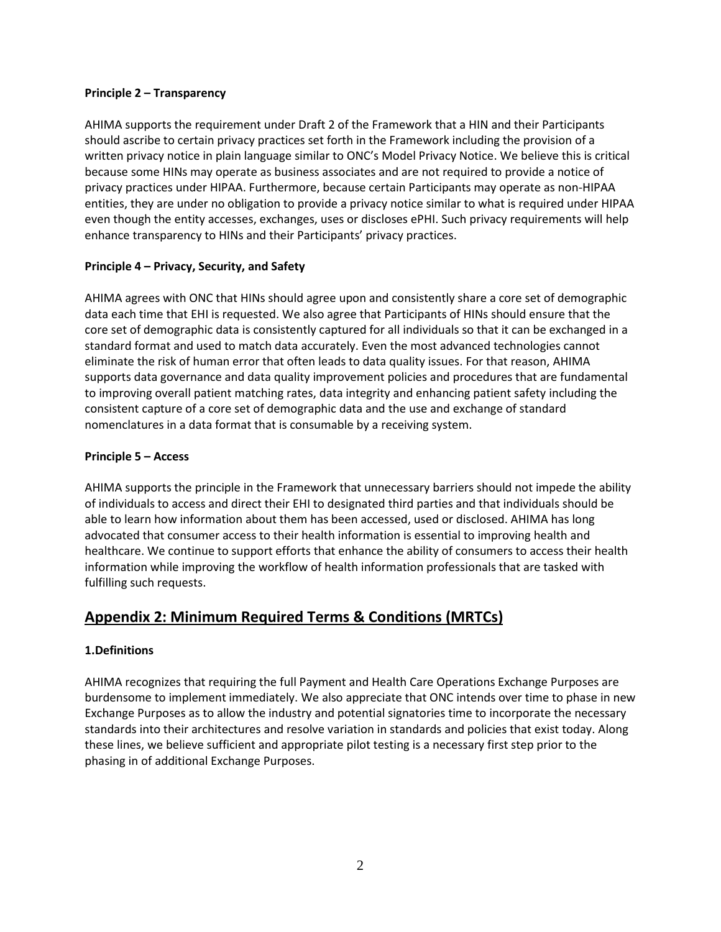#### **Principle 2 – Transparency**

AHIMA supports the requirement under Draft 2 of the Framework that a HIN and their Participants should ascribe to certain privacy practices set forth in the Framework including the provision of a written privacy notice in plain language similar to ONC's Model Privacy Notice. We believe this is critical because some HINs may operate as business associates and are not required to provide a notice of privacy practices under HIPAA. Furthermore, because certain Participants may operate as non-HIPAA entities, they are under no obligation to provide a privacy notice similar to what is required under HIPAA even though the entity accesses, exchanges, uses or discloses ePHI. Such privacy requirements will help enhance transparency to HINs and their Participants' privacy practices.

## **Principle 4 – Privacy, Security, and Safety**

AHIMA agrees with ONC that HINs should agree upon and consistently share a core set of demographic data each time that EHI is requested. We also agree that Participants of HINs should ensure that the core set of demographic data is consistently captured for all individuals so that it can be exchanged in a standard format and used to match data accurately. Even the most advanced technologies cannot eliminate the risk of human error that often leads to data quality issues. For that reason, AHIMA supports data governance and data quality improvement policies and procedures that are fundamental to improving overall patient matching rates, data integrity and enhancing patient safety including the consistent capture of a core set of demographic data and the use and exchange of standard nomenclatures in a data format that is consumable by a receiving system.

## **Principle 5 – Access**

AHIMA supports the principle in the Framework that unnecessary barriers should not impede the ability of individuals to access and direct their EHI to designated third parties and that individuals should be able to learn how information about them has been accessed, used or disclosed. AHIMA has long advocated that consumer access to their health information is essential to improving health and healthcare. We continue to support efforts that enhance the ability of consumers to access their health information while improving the workflow of health information professionals that are tasked with fulfilling such requests.

# **Appendix 2: Minimum Required Terms & Conditions (MRTCs)**

## **1.Definitions**

AHIMA recognizes that requiring the full Payment and Health Care Operations Exchange Purposes are burdensome to implement immediately. We also appreciate that ONC intends over time to phase in new Exchange Purposes as to allow the industry and potential signatories time to incorporate the necessary standards into their architectures and resolve variation in standards and policies that exist today. Along these lines, we believe sufficient and appropriate pilot testing is a necessary first step prior to the phasing in of additional Exchange Purposes.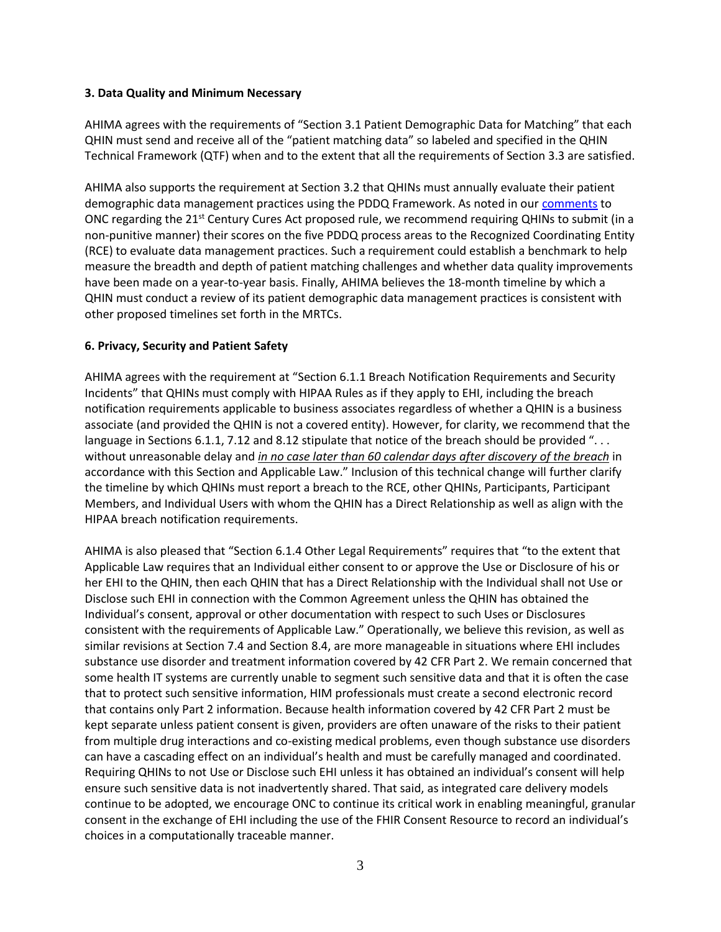#### **3. Data Quality and Minimum Necessary**

AHIMA agrees with the requirements of "Section 3.1 Patient Demographic Data for Matching" that each QHIN must send and receive all of the "patient matching data" so labeled and specified in the QHIN Technical Framework (QTF) when and to the extent that all the requirements of Section 3.3 are satisfied.

AHIMA also supports the requirement at Section 3.2 that QHINs must annually evaluate their patient demographic data management practices using the PDDQ Framework. As noted in our [comments](http://bok.ahima.org/PdfView?oid=302761) to ONC regarding the 21<sup>st</sup> Century Cures Act proposed rule, we recommend requiring QHINs to submit (in a non-punitive manner) their scores on the five PDDQ process areas to the Recognized Coordinating Entity (RCE) to evaluate data management practices. Such a requirement could establish a benchmark to help measure the breadth and depth of patient matching challenges and whether data quality improvements have been made on a year-to-year basis. Finally, AHIMA believes the 18-month timeline by which a QHIN must conduct a review of its patient demographic data management practices is consistent with other proposed timelines set forth in the MRTCs.

#### **6. Privacy, Security and Patient Safety**

AHIMA agrees with the requirement at "Section 6.1.1 Breach Notification Requirements and Security Incidents" that QHINs must comply with HIPAA Rules as if they apply to EHI, including the breach notification requirements applicable to business associates regardless of whether a QHIN is a business associate (and provided the QHIN is not a covered entity). However, for clarity, we recommend that the language in Sections 6.1.1, 7.12 and 8.12 stipulate that notice of the breach should be provided ". . . without unreasonable delay and *in no case later than 60 calendar days after discovery of the breach* in accordance with this Section and Applicable Law." Inclusion of this technical change will further clarify the timeline by which QHINs must report a breach to the RCE, other QHINs, Participants, Participant Members, and Individual Users with whom the QHIN has a Direct Relationship as well as align with the HIPAA breach notification requirements.

AHIMA is also pleased that "Section 6.1.4 Other Legal Requirements" requires that "to the extent that Applicable Law requires that an Individual either consent to or approve the Use or Disclosure of his or her EHI to the QHIN, then each QHIN that has a Direct Relationship with the Individual shall not Use or Disclose such EHI in connection with the Common Agreement unless the QHIN has obtained the Individual's consent, approval or other documentation with respect to such Uses or Disclosures consistent with the requirements of Applicable Law." Operationally, we believe this revision, as well as similar revisions at Section 7.4 and Section 8.4, are more manageable in situations where EHI includes substance use disorder and treatment information covered by 42 CFR Part 2. We remain concerned that some health IT systems are currently unable to segment such sensitive data and that it is often the case that to protect such sensitive information, HIM professionals must create a second electronic record that contains only Part 2 information. Because health information covered by 42 CFR Part 2 must be kept separate unless patient consent is given, providers are often unaware of the risks to their patient from multiple drug interactions and co-existing medical problems, even though substance use disorders can have a cascading effect on an individual's health and must be carefully managed and coordinated. Requiring QHINs to not Use or Disclose such EHI unless it has obtained an individual's consent will help ensure such sensitive data is not inadvertently shared. That said, as integrated care delivery models continue to be adopted, we encourage ONC to continue its critical work in enabling meaningful, granular consent in the exchange of EHI including the use of the FHIR Consent Resource to record an individual's choices in a computationally traceable manner.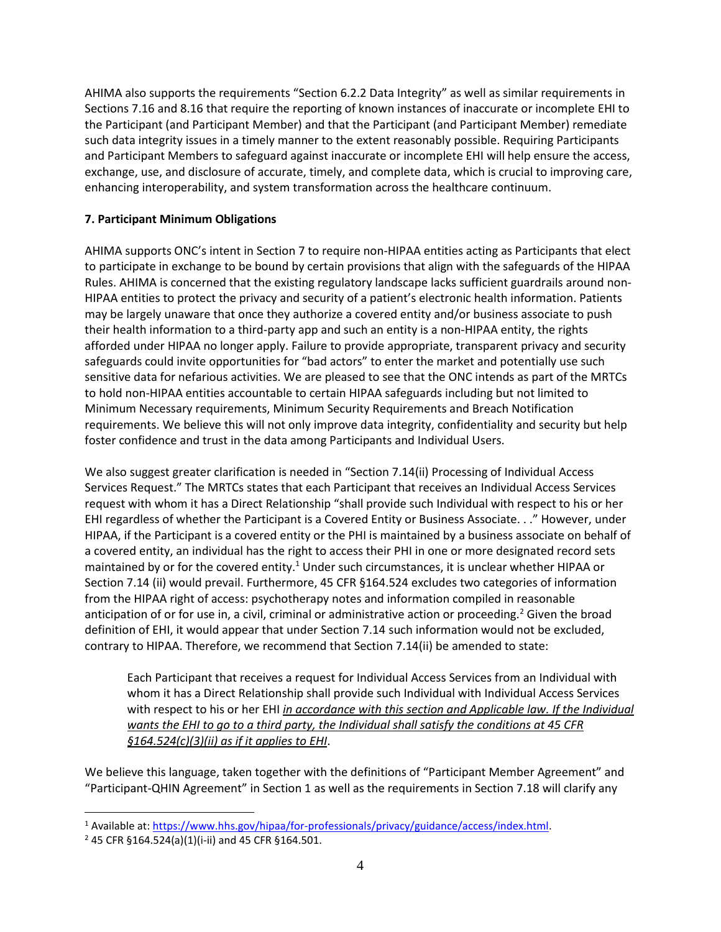AHIMA also supports the requirements "Section 6.2.2 Data Integrity" as well as similar requirements in Sections 7.16 and 8.16 that require the reporting of known instances of inaccurate or incomplete EHI to the Participant (and Participant Member) and that the Participant (and Participant Member) remediate such data integrity issues in a timely manner to the extent reasonably possible. Requiring Participants and Participant Members to safeguard against inaccurate or incomplete EHI will help ensure the access, exchange, use, and disclosure of accurate, timely, and complete data, which is crucial to improving care, enhancing interoperability, and system transformation across the healthcare continuum.

## **7. Participant Minimum Obligations**

AHIMA supports ONC's intent in Section 7 to require non-HIPAA entities acting as Participants that elect to participate in exchange to be bound by certain provisions that align with the safeguards of the HIPAA Rules. AHIMA is concerned that the existing regulatory landscape lacks sufficient guardrails around non-HIPAA entities to protect the privacy and security of a patient's electronic health information. Patients may be largely unaware that once they authorize a covered entity and/or business associate to push their health information to a third-party app and such an entity is a non-HIPAA entity, the rights afforded under HIPAA no longer apply. Failure to provide appropriate, transparent privacy and security safeguards could invite opportunities for "bad actors" to enter the market and potentially use such sensitive data for nefarious activities. We are pleased to see that the ONC intends as part of the MRTCs to hold non-HIPAA entities accountable to certain HIPAA safeguards including but not limited to Minimum Necessary requirements, Minimum Security Requirements and Breach Notification requirements. We believe this will not only improve data integrity, confidentiality and security but help foster confidence and trust in the data among Participants and Individual Users.

We also suggest greater clarification is needed in "Section 7.14(ii) Processing of Individual Access Services Request." The MRTCs states that each Participant that receives an Individual Access Services request with whom it has a Direct Relationship "shall provide such Individual with respect to his or her EHI regardless of whether the Participant is a Covered Entity or Business Associate. . ." However, under HIPAA, if the Participant is a covered entity or the PHI is maintained by a business associate on behalf of a covered entity, an individual has the right to access their PHI in one or more designated record sets maintained by or for the covered entity.<sup>1</sup> Under such circumstances, it is unclear whether HIPAA or Section 7.14 (ii) would prevail. Furthermore, 45 CFR §164.524 excludes two categories of information from the HIPAA right of access: psychotherapy notes and information compiled in reasonable anticipation of or for use in, a civil, criminal or administrative action or proceeding.<sup>2</sup> Given the broad definition of EHI, it would appear that under Section 7.14 such information would not be excluded, contrary to HIPAA. Therefore, we recommend that Section 7.14(ii) be amended to state:

Each Participant that receives a request for Individual Access Services from an Individual with whom it has a Direct Relationship shall provide such Individual with Individual Access Services with respect to his or her EHI *in accordance with this section and Applicable law. If the Individual wants the EHI to go to a third party, the Individual shall satisfy the conditions at 45 CFR §164.524(c)(3)(ii) as if it applies to EHI*.

We believe this language, taken together with the definitions of "Participant Member Agreement" and "Participant-QHIN Agreement" in Section 1 as well as the requirements in Section 7.18 will clarify any

 $\overline{a}$ 

<sup>&</sup>lt;sup>1</sup> Available at: https://www.hhs.gov/hipaa/for-professionals/privacy/guidance/access/index.html.

<sup>2</sup> 45 CFR §164.524(a)(1)(i-ii) and 45 CFR §164.501.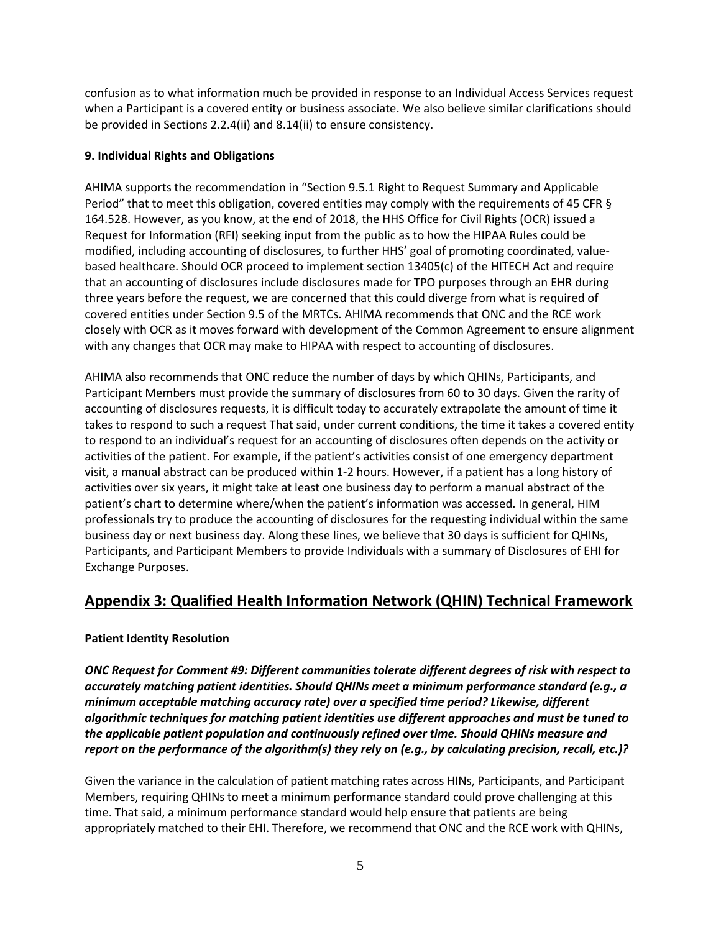confusion as to what information much be provided in response to an Individual Access Services request when a Participant is a covered entity or business associate. We also believe similar clarifications should be provided in Sections 2.2.4(ii) and 8.14(ii) to ensure consistency.

## **9. Individual Rights and Obligations**

AHIMA supports the recommendation in "Section 9.5.1 Right to Request Summary and Applicable Period" that to meet this obligation, covered entities may comply with the requirements of 45 CFR § 164.528. However, as you know, at the end of 2018, the HHS Office for Civil Rights (OCR) issued a Request for Information (RFI) seeking input from the public as to how the HIPAA Rules could be modified, including accounting of disclosures, to further HHS' goal of promoting coordinated, valuebased healthcare. Should OCR proceed to implement section 13405(c) of the HITECH Act and require that an accounting of disclosures include disclosures made for TPO purposes through an EHR during three years before the request, we are concerned that this could diverge from what is required of covered entities under Section 9.5 of the MRTCs. AHIMA recommends that ONC and the RCE work closely with OCR as it moves forward with development of the Common Agreement to ensure alignment with any changes that OCR may make to HIPAA with respect to accounting of disclosures.

AHIMA also recommends that ONC reduce the number of days by which QHINs, Participants, and Participant Members must provide the summary of disclosures from 60 to 30 days. Given the rarity of accounting of disclosures requests, it is difficult today to accurately extrapolate the amount of time it takes to respond to such a request That said, under current conditions, the time it takes a covered entity to respond to an individual's request for an accounting of disclosures often depends on the activity or activities of the patient. For example, if the patient's activities consist of one emergency department visit, a manual abstract can be produced within 1-2 hours. However, if a patient has a long history of activities over six years, it might take at least one business day to perform a manual abstract of the patient's chart to determine where/when the patient's information was accessed. In general, HIM professionals try to produce the accounting of disclosures for the requesting individual within the same business day or next business day. Along these lines, we believe that 30 days is sufficient for QHINs, Participants, and Participant Members to provide Individuals with a summary of Disclosures of EHI for Exchange Purposes.

# **Appendix 3: Qualified Health Information Network (QHIN) Technical Framework**

## **Patient Identity Resolution**

*ONC Request for Comment #9: Different communities tolerate different degrees of risk with respect to accurately matching patient identities. Should QHINs meet a minimum performance standard (e.g., a minimum acceptable matching accuracy rate) over a specified time period? Likewise, different algorithmic techniques for matching patient identities use different approaches and must be tuned to the applicable patient population and continuously refined over time. Should QHINs measure and report on the performance of the algorithm(s) they rely on (e.g., by calculating precision, recall, etc.)?*

Given the variance in the calculation of patient matching rates across HINs, Participants, and Participant Members, requiring QHINs to meet a minimum performance standard could prove challenging at this time. That said, a minimum performance standard would help ensure that patients are being appropriately matched to their EHI. Therefore, we recommend that ONC and the RCE work with QHINs,